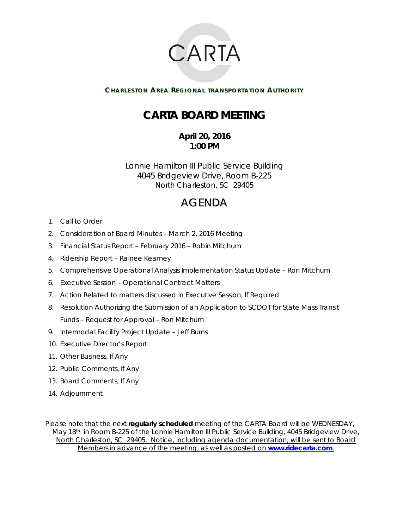

**CHARLESTON AREA REGIONAL TRANSPORTATION AUTHORITY** 

# **CARTA BOARD MEETING**

**April 20, 2016 1:00 PM** 

Lonnie Hamilton III Public Service Building 4045 Bridgeview Drive, Room B-225 North Charleston, SC 29405

# AGENDA

- 1. Call to Order
- 2. Consideration of Board Minutes March 2, 2016 Meeting
- 3. Financial Status Report February 2016 Robin Mitchum
- 4. Ridership Report Rainee Kearney
- 5. Comprehensive Operational Analysis Implementation Status Update Ron Mitchum
- 6. Executive Session Operational Contract Matters
- 7. Action Related to matters discussed in Executive Session, If Required
- 8. Resolution Authorizing the Submission of an Application to SCDOT for State Mass Transit Funds – Request for Approval – Ron Mitchum
- 9. Intermodal Facility Project Update Jeff Burns
- 10. Executive Director's Report
- 11. Other Business, If Any
- 12. Public Comments, If Any
- 13. Board Comments, If Any
- 14. Adjournment

*Please note that the next regularly scheduled meeting of the CARTA Board will be WEDNESDAY, May 18th in Room B-225 of the Lonnie Hamilton III Public Service Building, 4045 Bridgeview Drive, North Charleston, SC 29405. Notice, including agenda documentation, will be sent to Board Members in advance of the meeting, as well as posted on www.ridecarta.com.*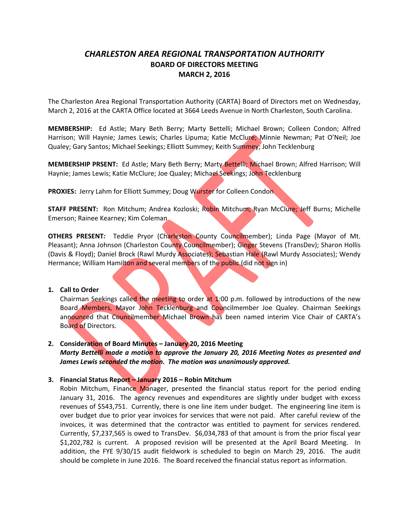## *CHARLESTON AREA REGIONAL TRANSPORTATION AUTHORITY* **BOARD OF DIRECTORS MEETING MARCH 2, 2016**

The Charleston Area Regional Transportation Authority (CARTA) Board of Directors met on Wednesday, March 2, 2016 at the CARTA Office located at 3664 Leeds Avenue in North Charleston, South Carolina.

**MEMBERSHIP:**  Ed Astle; Mary Beth Berry; Marty Bettelli; Michael Brown; Colleen Condon; Alfred Harrison; Will Haynie; James Lewis; Charles Lipuma; Katie McClure; Minnie Newman; Pat O'Neil; Joe Qualey; Gary Santos; Michael Seekings; Elliott Summey; Keith Summey; John Tecklenburg

**MEMBERSHIP PRSENT:** Ed Astle; Mary Beth Berry; Marty Bettelli; Michael Brown; Alfred Harrison; Will Haynie; James Lewis; Katie McClure; Joe Qualey; Michael Seekings; John Tecklenburg

**PROXIES:** Jerry Lahm for Elliott Summey; Doug Wurster for Colleen Condon

**STAFF PRESENT:** Ron Mitchum; Andrea Kozloski; Robin Mitchum; Ryan McClure; Jeff Burns; Michelle Emerson; Rainee Kearney; Kim Coleman

**OTHERS PRESENT***:*  Teddie Pryor (Charleston County Councilmember); Linda Page (Mayor of Mt. Pleasant); Anna Johnson (Charleston County Councilmember); Ginger Stevens (TransDev); Sharon Hollis (Davis & Floyd); Daniel Brock (Rawl Murdy Associates); Sebastian Hale (Rawl Murdy Associates); Wendy Hermance; William Hamilton and several members of the public (did not sign in)

#### **1. Call to Order**

Chairman Seekings called the meeting to order at 1:00 p.m. followed by introductions of the new Board Members, Mayor John Tecklenburg and Councilmember Joe Qualey. Chairman Seekings announced that Councilmember Michael Brown has been named interim Vice Chair of CARTA's Board of Directors.

#### **2. Consideration of Board Minutes – January 20, 2016 Meeting** *Marty Bettelli made a motion to approve the January 20, 2016 Meeting Notes as presented and James Lewis seconded the motion. The motion was unanimously approved.*

#### **3. Financial Status Report – January 2016 – Robin Mitchum**

Robin Mitchum, Finance Manager, presented the financial status report for the period ending January 31, 2016. The agency revenues and expenditures are slightly under budget with excess revenues of \$543,751. Currently, there is one line item under budget. The engineering line item is over budget due to prior year invoices for services that were not paid. After careful review of the invoices, it was determined that the contractor was entitled to payment for services rendered. Currently, \$7,237,565 is owed to TransDev. \$6,034,783 of that amount is from the prior fiscal year \$1,202,782 is current. A proposed revision will be presented at the April Board Meeting. In addition, the FYE 9/30/15 audit fieldwork is scheduled to begin on March 29, 2016. The audit should be complete in June 2016. The Board received the financial status report as information.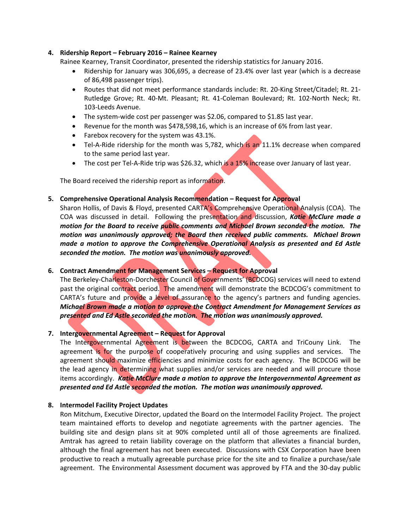#### **4. Ridership Report – February 2016 – Rainee Kearney**

Rainee Kearney, Transit Coordinator, presented the ridership statistics for January 2016.

- Ridership for January was 306,695, a decrease of 23.4% over last year (which is a decrease of 86,498 passenger trips).
- Routes that did not meet performance standards include: Rt. 20-King Street/Citadel; Rt. 21-Rutledge Grove; Rt. 40‐Mt. Pleasant; Rt. 41‐Coleman Boulevard; Rt. 102‐North Neck; Rt. 103‐Leeds Avenue.
- The system‐wide cost per passenger was \$2.06, compared to \$1.85 last year.
- Revenue for the month was \$478,598,16, which is an increase of 6% from last year.
- Farebox recovery for the system was 43.1%.
- Tel-A-Ride ridership for the month was 5,782, which is an 11.1% decrease when compared to the same period last year.
- The cost per Tel-A-Ride trip was \$26.32, which is a 15% increase over January of last year.

The Board received the ridership report as information.

#### **5. Comprehensive Operational Analysis Recommendation – Request for Approval**

Sharon Hollis, of Davis & Floyd, presented CARTA's Comprehensive Operational Analysis (COA). The COA was discussed in detail. Following the presentation and discussion, *Katie McClure made a motion for the Board to receive public comments and Michael Brown seconded the motion. The motion was unanimously approved; the Board then received public comments. Michael Brown made a motion to approve the Comprehensive Operational Analysis as presented and Ed Astle seconded the motion. The motion was unanimously approved.*

#### **6. Contract Amendment for Management Services – Request for Approval**

The Berkeley‐Charleston‐Dorchester Council of Governments' (BCDCOG) services will need to extend past the original contract period. The amendment will demonstrate the BCDCOG's commitment to CARTA's future and provide a level of assurance to the agency's partners and funding agencies. *Michael Brown made a motion to approve the Contract Amendment for Management Services as presented and Ed Astle seconded the motion. The motion was unanimously approved.* 

#### **7. Intergovernmental Agreement – Request for Approval**

The Intergovernmental Agreement is between the BCDCOG, CARTA and TriCouny Link. The agreement is for the purpose of cooperatively procuring and using supplies and services. The agreement should maximize efficiencies and minimize costs for each agency. The BCDCOG will be the lead agency in determining what supplies and/or services are needed and will procure those items accordingly. *Katie McClure made a motion to approve the Intergovernmental Agreement as presented and Ed Astle seconded the motion. The motion was unanimously approved.*

#### **8. Intermodel Facility Project Updates**

Ron Mitchum, Executive Director, updated the Board on the Intermodel Facility Project. The project team maintained efforts to develop and negotiate agreements with the partner agencies. The building site and design plans sit at 90% completed until all of those agreements are finalized. Amtrak has agreed to retain liability coverage on the platform that alleviates a financial burden, although the final agreement has not been executed. Discussions with CSX Corporation have been productive to reach a mutually agreeable purchase price for the site and to finalize a purchase/sale agreement. The Environmental Assessment document was approved by FTA and the 30‐day public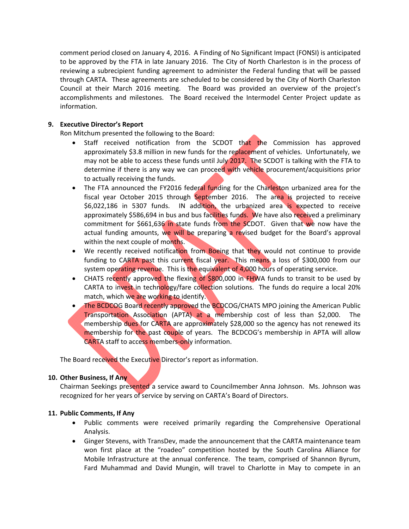comment period closed on January 4, 2016. A Finding of No Significant Impact (FONSI) is anticipated to be approved by the FTA in late January 2016. The City of North Charleston is in the process of reviewing a subrecipient funding agreement to administer the Federal funding that will be passed through CARTA. These agreements are scheduled to be considered by the City of North Charleston Council at their March 2016 meeting. The Board was provided an overview of the project's accomplishments and milestones. The Board received the Intermodel Center Project update as information.

#### **9. Executive Director's Report**

Ron Mitchum presented the following to the Board:

- Staff received notification from the SCDOT that the Commission has approved approximately \$3.8 million in new funds for the replacement of vehicles. Unfortunately, we may not be able to access these funds until July 2017. The SCDOT is talking with the FTA to determine if there is any way we can proceed with vehicle procurement/acquisitions prior to actually receiving the funds.
- The FTA announced the FY2016 federal funding for the Charleston urbanized area for the fiscal year October 2015 through September 2016. The area is projected to receive \$6,022,186 in 5307 funds. IN addition, the urbanized area is expected to receive approximately \$586,694 in bus and bus facilities funds. We have also received a preliminary commitment for \$661,636 in state funds from the SCDOT. Given that we now have the actual funding amounts, we will be preparing a revised budget for the Board's approval within the next couple of months.
- We recently received notification from Boeing that they would not continue to provide funding to CARTA past this current fiscal year. This means a loss of \$300,000 from our system operating revenue. This is the equivalent of 4,000 hours of operating service.
- CHATS recently approved the flexing of \$800,000 in FHWA funds to transit to be used by CARTA to invest in technology/fare collection solutions. The funds do require a local 20% match, which we are working to identify.
- The BCDCOG Board recently approved the BCDCOG/CHATS MPO joining the American Public Transportation Association (APTA) at a membership cost of less than \$2,000. The membership dues for CARTA are approximately \$28,000 so the agency has not renewed its membership for the past couple of years. The BCDCOG's membership in APTA will allow CARTA staff to access members‐only information.

The Board received the Executive Director's report as information.

#### **10. Other Business, If Any**

Chairman Seekings presented a service award to Councilmember Anna Johnson. Ms. Johnson was recognized for her years of service by serving on CARTA's Board of Directors.

#### **11. Public Comments, If Any**

- Public comments were received primarily regarding the Comprehensive Operational Analysis.
- Ginger Stevens, with TransDev, made the announcement that the CARTA maintenance team won first place at the "roadeo" competition hosted by the South Carolina Alliance for Mobile Infrastructure at the annual conference. The team, comprised of Shannon Byrum, Fard Muhammad and David Mungin, will travel to Charlotte in May to compete in an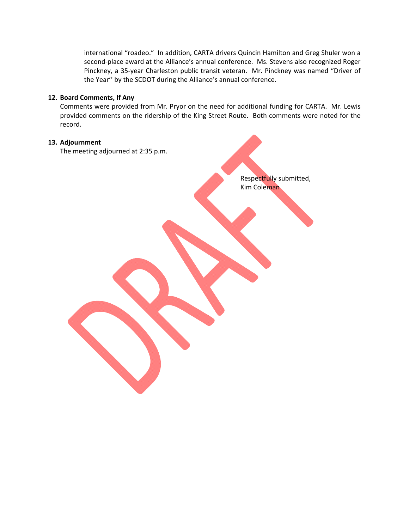international "roadeo." In addition, CARTA drivers Quincin Hamilton and Greg Shuler won a second-place award at the Alliance's annual conference. Ms. Stevens also recognized Roger Pinckney, a 35‐year Charleston public transit veteran. Mr. Pinckney was named "Driver of the Year'' by the SCDOT during the Alliance's annual conference.

#### **12. Board Comments, If Any**

Comments were provided from Mr. Pryor on the need for additional funding for CARTA. Mr. Lewis provided comments on the ridership of the King Street Route. Both comments were noted for the record.

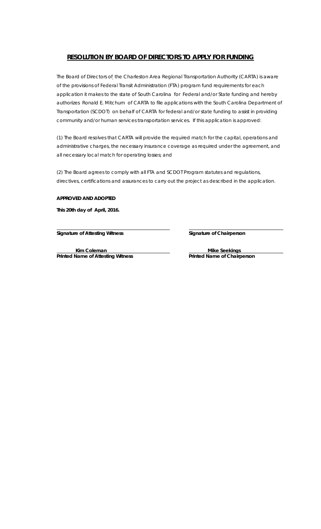## **RESOLUTION BY BOARD OF DIRECTORS TO APPLY FOR FUNDING**

The Board of Directors of the Charleston Area Regional Transportation Authority (CARTA) is aware of the provisions of Federal Transit Administration (FTA) program fund requirements for each application it makes to the state of South Carolina for Federal and/or State funding and hereby authorizes Ronald E. Mitchum of CARTA to file applications with the South Carolina Department of Transportation (SCDOT) on behalf of CARTA for federal and/or state funding to assist in providing community and/or human services transportation services. If this application is approved:

(1) The Board resolves that CARTA will provide the required match for the capital, operations and administrative charges, the necessary insurance coverage as required under the agreement, and all necessary local match for operating losses; and

(2) The Board agrees to comply with all FTA and SCDOT Program statutes and regulations, directives, certifications and assurances to carry out the project as described in the application.

#### **APPROVED AND ADOPTED**

**This 20th day of April, 2016.** 

 *Signature of Attesting Witness Signature of Chairperson* 

**Kim Coleman Mike Seekings Mike Seekings** Printed Name of Attesting Witness **Printed Name of Chairperson**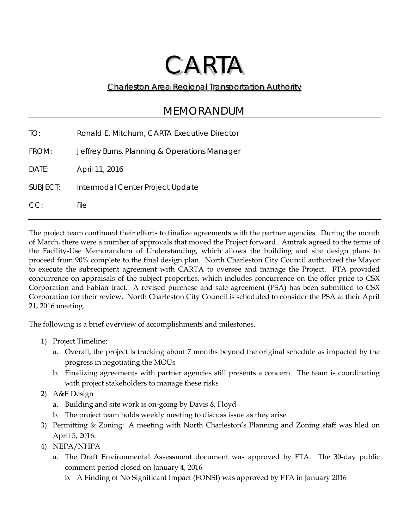# CARTA

## Charleston Area Regional Transportation Authority

## MEMORANDUM

| TO:      | Ronald E. Mitchum, CARTA Executive Director  |
|----------|----------------------------------------------|
| FROM:    | Jeffrey Burns, Planning & Operations Manager |
| DATE:    | April 11, 2016                               |
| SUBJECT: | Intermodal Center Project Update             |
| CC:      | file                                         |

The project team continued their efforts to finalize agreements with the partner agencies. During the month of March, there were a number of approvals that moved the Project forward. Amtrak agreed to the terms of the Facility-Use Memorandum of Understanding, which allows the building and site design plans to proceed from 90% complete to the final design plan. North Charleston City Council authorized the Mayor to execute the subrecipient agreement with CARTA to oversee and manage the Project. FTA provided concurrence on appraisals of the subject properties, which includes concurrence on the offer price to CSX Corporation and Fabian tract. A revised purchase and sale agreement (PSA) has been submitted to CSX Corporation for their review. North Charleston City Council is scheduled to consider the PSA at their April 21, 2016 meeting.

The following is a brief overview of accomplishments and milestones.

- 1) Project Timeline:
	- a. Overall, the project is tracking about 7 months beyond the original schedule as impacted by the progress in negotiating the MOUs
	- b. Finalizing agreements with partner agencies still presents a concern. The team is coordinating with project stakeholders to manage these risks
- 2) A&E Design
	- a. Building and site work is on-going by Davis & Floyd
	- b. The project team holds weekly meeting to discuss issue as they arise
- 3) Permitting & Zoning: A meeting with North Charleston's Planning and Zoning staff was hled on April 5, 2016.
- 4) NEPA/NHPA
	- a. The Draft Environmental Assessment document was approved by FTA. The 30-day public comment period closed on January 4, 2016
		- b. A Finding of No Significant Impact (FONSI) was approved by FTA in January 2016